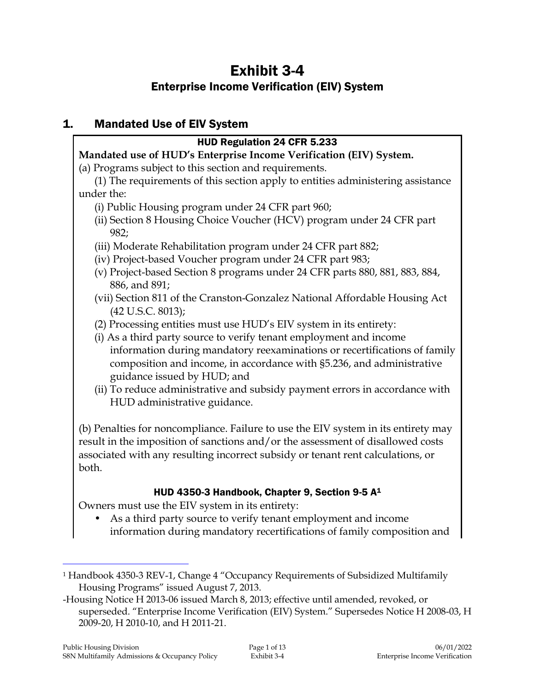# Exhibit 3-4 Enterprise Income Verification (EIV) System

## 1. Mandated Use of EIV System

## HUD Regulation 24 CFR 5.233

## **Mandated use of HUD's Enterprise Income Verification (EIV) System.**

(a) Programs subject to this section and requirements.

(1) The requirements of this section apply to entities administering assistance under the:

- (i) Public Housing program under 24 CFR part 960;
- (ii) Section 8 Housing Choice Voucher (HCV) program under 24 CFR part 982;
- (iii) Moderate Rehabilitation program under 24 CFR part 882;
- (iv) Project-based Voucher program under 24 CFR part 983;
- (v) Project-based Section 8 programs under 24 CFR parts 880, 881, 883, 884, 886, and 891;
- (vii) Section 811 of the Cranston-Gonzalez National Affordable Housing Act (42 U.S.C. 8013);
- (2) Processing entities must use HUD's EIV system in its entirety:
- (i) As a third party source to verify tenant employment and income information during mandatory reexaminations or recertifications of family composition and income, in accordance with §5.236, and administrative guidance issued by HUD; and
- (ii) To reduce administrative and subsidy payment errors in accordance with HUD administrative guidance.

(b) Penalties for noncompliance. Failure to use the EIV system in its entirety may result in the imposition of sanctions and/or the assessment of disallowed costs associated with any resulting incorrect subsidy or tenant rent calculations, or both.

## HUD 4350-3 Handbook, Chapter 9, Section 9-5 A<sup>1</sup>

Owners must use the EIV system in its entirety:

• As a third party source to verify tenant employment and income information during mandatory recertifications of family composition and

j

<sup>1</sup> Handbook 4350-3 REV-1, Change 4 "Occupancy Requirements of Subsidized Multifamily Housing Programs" issued August 7, 2013.

<sup>-</sup>Housing Notice H 2013-06 issued March 8, 2013; effective until amended, revoked, or superseded. "Enterprise Income Verification (EIV) System." Supersedes Notice H 2008-03, H 2009-20, H 2010-10, and H 2011-21.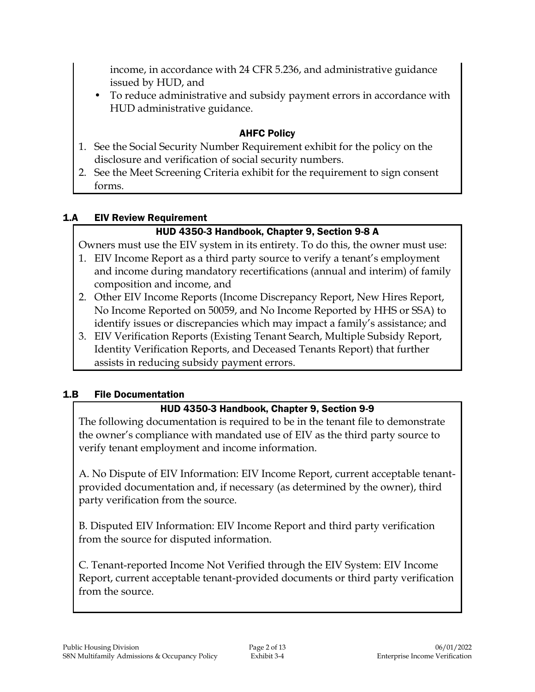income, in accordance with 24 CFR 5.236, and administrative guidance issued by HUD, and

• To reduce administrative and subsidy payment errors in accordance with HUD administrative guidance.

## AHFC Policy

- 1. See the Social Security Number Requirement exhibit for the policy on the disclosure and verification of social security numbers.
- 2. See the Meet Screening Criteria exhibit for the requirement to sign consent forms.

## 1.A EIV Review Requirement

## HUD 4350-3 Handbook, Chapter 9, Section 9-8 A

Owners must use the EIV system in its entirety. To do this, the owner must use:

- 1. EIV Income Report as a third party source to verify a tenant's employment and income during mandatory recertifications (annual and interim) of family composition and income, and
- 2. Other EIV Income Reports (Income Discrepancy Report, New Hires Report, No Income Reported on 50059, and No Income Reported by HHS or SSA) to identify issues or discrepancies which may impact a family's assistance; and
- 3. EIV Verification Reports (Existing Tenant Search, Multiple Subsidy Report, Identity Verification Reports, and Deceased Tenants Report) that further assists in reducing subsidy payment errors.

## 1.B File Documentation

## HUD 4350-3 Handbook, Chapter 9, Section 9-9

The following documentation is required to be in the tenant file to demonstrate the owner's compliance with mandated use of EIV as the third party source to verify tenant employment and income information.

A. No Dispute of EIV Information: EIV Income Report, current acceptable tenantprovided documentation and, if necessary (as determined by the owner), third party verification from the source.

B. Disputed EIV Information: EIV Income Report and third party verification from the source for disputed information.

C. Tenant-reported Income Not Verified through the EIV System: EIV Income Report, current acceptable tenant-provided documents or third party verification from the source.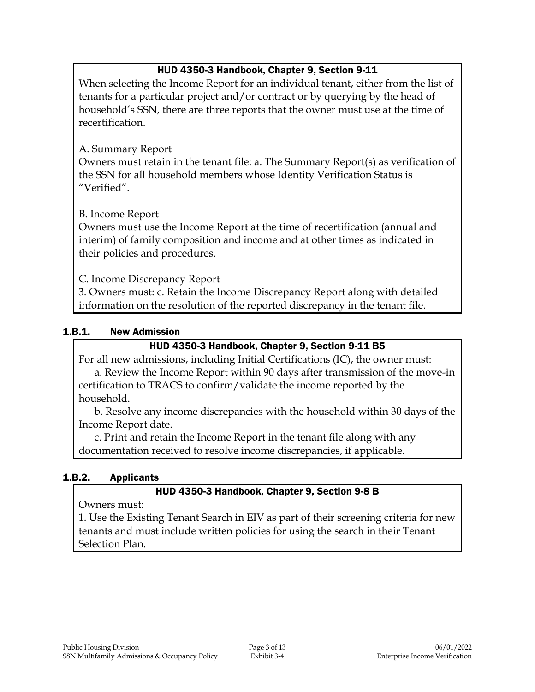## HUD 4350-3 Handbook, Chapter 9, Section 9-11

When selecting the Income Report for an individual tenant, either from the list of tenants for a particular project and/or contract or by querying by the head of household's SSN, there are three reports that the owner must use at the time of recertification.

## A. Summary Report

Owners must retain in the tenant file: a. The Summary Report(s) as verification of the SSN for all household members whose Identity Verification Status is "Verified".

## B. Income Report

Owners must use the Income Report at the time of recertification (annual and interim) of family composition and income and at other times as indicated in their policies and procedures.

C. Income Discrepancy Report

3. Owners must: c. Retain the Income Discrepancy Report along with detailed information on the resolution of the reported discrepancy in the tenant file.

## 1.B.1. New Admission

## HUD 4350-3 Handbook, Chapter 9, Section 9-11 B5

For all new admissions, including Initial Certifications (IC), the owner must: a. Review the Income Report within 90 days after transmission of the move-in certification to TRACS to confirm/validate the income reported by the household.

b. Resolve any income discrepancies with the household within 30 days of the Income Report date.

c. Print and retain the Income Report in the tenant file along with any documentation received to resolve income discrepancies, if applicable.

## 1.B.2. Applicants

## HUD 4350-3 Handbook, Chapter 9, Section 9-8 B

Owners must:

1. Use the Existing Tenant Search in EIV as part of their screening criteria for new tenants and must include written policies for using the search in their Tenant Selection Plan.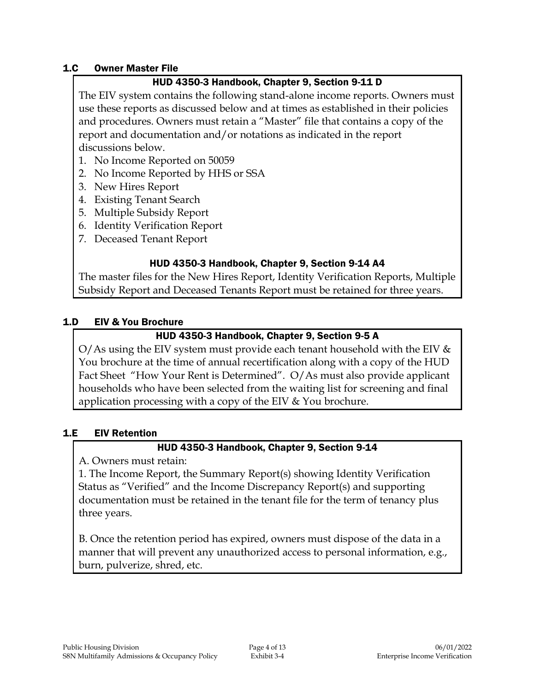#### 1.C Owner Master File

## HUD 4350-3 Handbook, Chapter 9, Section 9-11 D

The EIV system contains the following stand-alone income reports. Owners must use these reports as discussed below and at times as established in their policies and procedures. Owners must retain a "Master" file that contains a copy of the report and documentation and/or notations as indicated in the report discussions below.

- 1. No Income Reported on 50059
- 2. No Income Reported by HHS or SSA
- 3. New Hires Report
- 4. Existing Tenant Search
- 5. Multiple Subsidy Report
- 6. Identity Verification Report
- 7. Deceased Tenant Report

## HUD 4350-3 Handbook, Chapter 9, Section 9-14 A4

The master files for the New Hires Report, Identity Verification Reports, Multiple Subsidy Report and Deceased Tenants Report must be retained for three years.

## 1.D EIV & You Brochure

## HUD 4350-3 Handbook, Chapter 9, Section 9-5 A

O/As using the EIV system must provide each tenant household with the EIV  $\&$ You brochure at the time of annual recertification along with a copy of the HUD Fact Sheet "How Your Rent is Determined". O/As must also provide applicant households who have been selected from the waiting list for screening and final application processing with a copy of the EIV & You brochure.

## 1.E EIV Retention

## HUD 4350-3 Handbook, Chapter 9, Section 9-14

A. Owners must retain:

1. The Income Report, the Summary Report(s) showing Identity Verification Status as "Verified" and the Income Discrepancy Report(s) and supporting documentation must be retained in the tenant file for the term of tenancy plus three years.

B. Once the retention period has expired, owners must dispose of the data in a manner that will prevent any unauthorized access to personal information, e.g., burn, pulverize, shred, etc.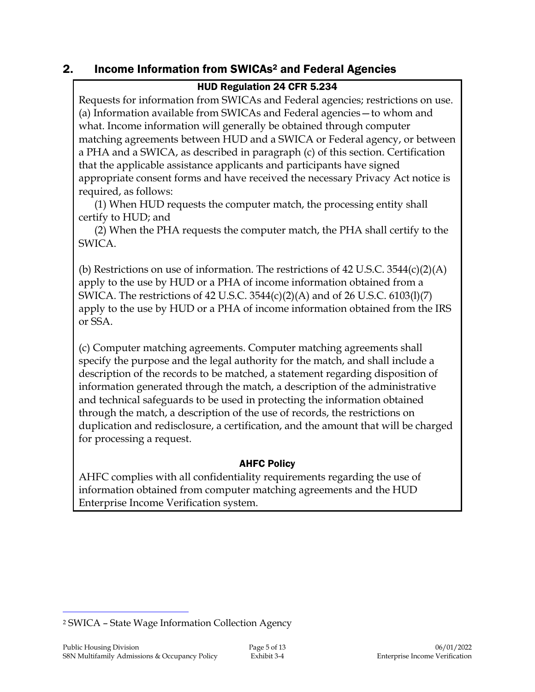## 2. Income Information from SWICAs<sup>2</sup> and Federal Agencies

## HUD Regulation 24 CFR 5.234

Requests for information from SWICAs and Federal agencies; restrictions on use. (a) Information available from SWICAs and Federal agencies—to whom and what. Income information will generally be obtained through computer matching agreements between HUD and a SWICA or Federal agency, or between a PHA and a SWICA, as described in paragraph (c) of this section. Certification that the applicable assistance applicants and participants have signed appropriate consent forms and have received the necessary Privacy Act notice is required, as follows:

(1) When HUD requests the computer match, the processing entity shall certify to HUD; and

(2) When the PHA requests the computer match, the PHA shall certify to the SWICA.

(b) Restrictions on use of information. The restrictions of 42 U.S.C.  $3544(c)(2)(A)$ apply to the use by HUD or a PHA of income information obtained from a SWICA. The restrictions of 42 U.S.C. 3544(c)(2)(A) and of 26 U.S.C. 6103(l)(7) apply to the use by HUD or a PHA of income information obtained from the IRS or SSA.

(c) Computer matching agreements. Computer matching agreements shall specify the purpose and the legal authority for the match, and shall include a description of the records to be matched, a statement regarding disposition of information generated through the match, a description of the administrative and technical safeguards to be used in protecting the information obtained through the match, a description of the use of records, the restrictions on duplication and redisclosure, a certification, and the amount that will be charged for processing a request.

## AHFC Policy

AHFC complies with all confidentiality requirements regarding the use of information obtained from computer matching agreements and the HUD Enterprise Income Verification system.

j

<sup>2</sup> SWICA – State Wage Information Collection Agency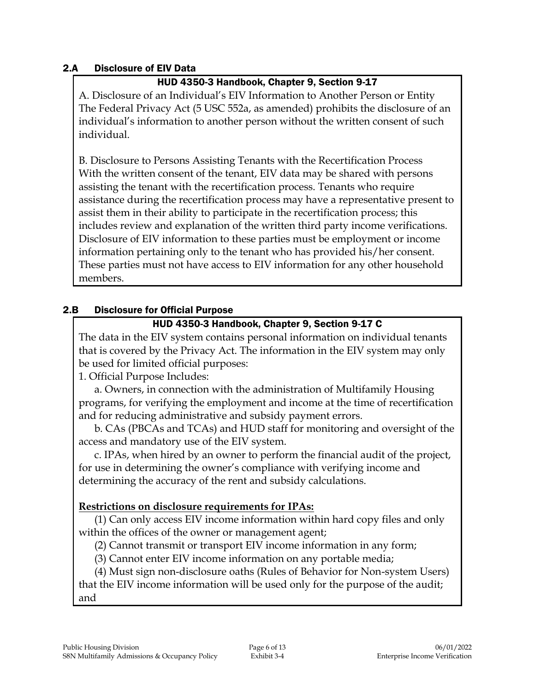### 2.A Disclosure of EIV Data

## HUD 4350-3 Handbook, Chapter 9, Section 9-17

A. Disclosure of an Individual's EIV Information to Another Person or Entity The Federal Privacy Act (5 USC 552a, as amended) prohibits the disclosure of an individual's information to another person without the written consent of such individual.

B. Disclosure to Persons Assisting Tenants with the Recertification Process With the written consent of the tenant, EIV data may be shared with persons assisting the tenant with the recertification process. Tenants who require assistance during the recertification process may have a representative present to assist them in their ability to participate in the recertification process; this includes review and explanation of the written third party income verifications. Disclosure of EIV information to these parties must be employment or income information pertaining only to the tenant who has provided his/her consent. These parties must not have access to EIV information for any other household members.

## 2.B Disclosure for Official Purpose

## HUD 4350-3 Handbook, Chapter 9, Section 9-17 C

The data in the EIV system contains personal information on individual tenants that is covered by the Privacy Act. The information in the EIV system may only be used for limited official purposes:

1. Official Purpose Includes:

a. Owners, in connection with the administration of Multifamily Housing programs, for verifying the employment and income at the time of recertification and for reducing administrative and subsidy payment errors.

b. CAs (PBCAs and TCAs) and HUD staff for monitoring and oversight of the access and mandatory use of the EIV system.

c. IPAs, when hired by an owner to perform the financial audit of the project, for use in determining the owner's compliance with verifying income and determining the accuracy of the rent and subsidy calculations.

## **Restrictions on disclosure requirements for IPAs:**

(1) Can only access EIV income information within hard copy files and only within the offices of the owner or management agent;

(2) Cannot transmit or transport EIV income information in any form;

(3) Cannot enter EIV income information on any portable media;

(4) Must sign non-disclosure oaths (Rules of Behavior for Non-system Users) that the EIV income information will be used only for the purpose of the audit; and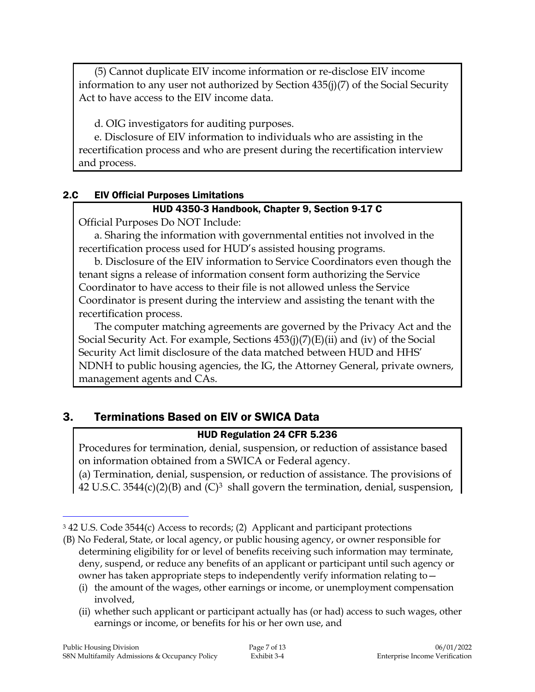(5) Cannot duplicate EIV income information or re-disclose EIV income information to any user not authorized by Section 435(j)(7) of the Social Security Act to have access to the EIV income data.

d. OIG investigators for auditing purposes.

e. Disclosure of EIV information to individuals who are assisting in the recertification process and who are present during the recertification interview and process.

### 2.C EIV Official Purposes Limitations

### HUD 4350-3 Handbook, Chapter 9, Section 9-17 C

Official Purposes Do NOT Include:

a. Sharing the information with governmental entities not involved in the recertification process used for HUD's assisted housing programs.

b. Disclosure of the EIV information to Service Coordinators even though the tenant signs a release of information consent form authorizing the Service Coordinator to have access to their file is not allowed unless the Service Coordinator is present during the interview and assisting the tenant with the recertification process.

The computer matching agreements are governed by the Privacy Act and the Social Security Act. For example, Sections 453(j)(7)(E)(ii) and (iv) of the Social Security Act limit disclosure of the data matched between HUD and HHS' NDNH to public housing agencies, the IG, the Attorney General, private owners, management agents and CAs.

## 3. Terminations Based on EIV or SWICA Data

## HUD Regulation 24 CFR 5.236

Procedures for termination, denial, suspension, or reduction of assistance based on information obtained from a SWICA or Federal agency.

(a) Termination, denial, suspension, or reduction of assistance. The provisions of 42 U.S.C. 3544(c)(2)(B) and  $(C)^3$  shall govern the termination, denial, suspension,

(ii) whether such applicant or participant actually has (or had) access to such wages, other earnings or income, or benefits for his or her own use, and

 $\overline{a}$ 

<sup>3</sup> 42 U.S. Code 3544(c) Access to records; (2) Applicant and participant protections

<sup>(</sup>B) No Federal, State, or local agency, or public housing agency, or owner responsible for determining eligibility for or level of benefits receiving such information may terminate, deny, suspend, or reduce any benefits of an applicant or participant until such agency or owner has taken appropriate steps to independently verify information relating to—

<sup>(</sup>i) the amount of the wages, other earnings or income, or unemployment compensation involved,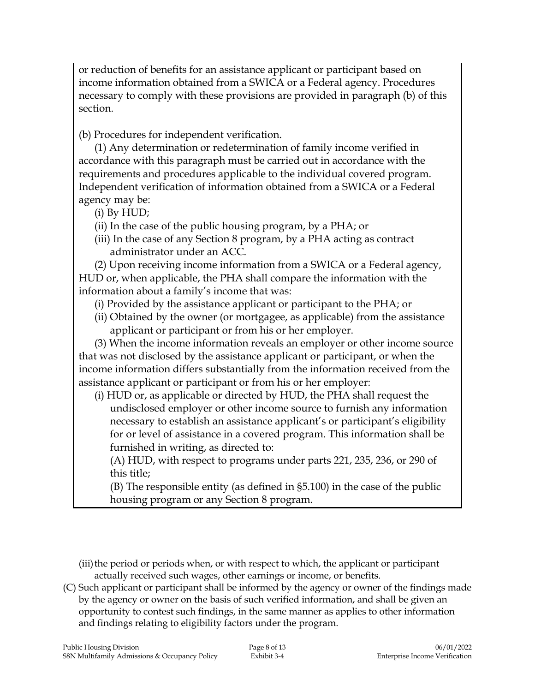or reduction of benefits for an assistance applicant or participant based on income information obtained from a SWICA or a Federal agency. Procedures necessary to comply with these provisions are provided in paragraph (b) of this section.

(b) Procedures for independent verification.

(1) Any determination or redetermination of family income verified in accordance with this paragraph must be carried out in accordance with the requirements and procedures applicable to the individual covered program. Independent verification of information obtained from a SWICA or a Federal agency may be:

(i) By HUD;

- (ii) In the case of the public housing program, by a PHA; or
- (iii) In the case of any Section 8 program, by a PHA acting as contract administrator under an ACC.

(2) Upon receiving income information from a SWICA or a Federal agency, HUD or, when applicable, the PHA shall compare the information with the information about a family's income that was:

- (i) Provided by the assistance applicant or participant to the PHA; or
- (ii) Obtained by the owner (or mortgagee, as applicable) from the assistance applicant or participant or from his or her employer.

(3) When the income information reveals an employer or other income source that was not disclosed by the assistance applicant or participant, or when the income information differs substantially from the information received from the assistance applicant or participant or from his or her employer:

(i) HUD or, as applicable or directed by HUD, the PHA shall request the undisclosed employer or other income source to furnish any information necessary to establish an assistance applicant's or participant's eligibility for or level of assistance in a covered program. This information shall be furnished in writing, as directed to:

(A) HUD, with respect to programs under parts 221, 235, 236, or 290 of this title;

(B) The responsible entity (as defined in §5.100) in the case of the public housing program or any Section 8 program.

 $\overline{a}$ 

<sup>(</sup>iii) the period or periods when, or with respect to which, the applicant or participant actually received such wages, other earnings or income, or benefits.

<sup>(</sup>C) Such applicant or participant shall be informed by the agency or owner of the findings made by the agency or owner on the basis of such verified information, and shall be given an opportunity to contest such findings, in the same manner as applies to other information and findings relating to eligibility factors under the program.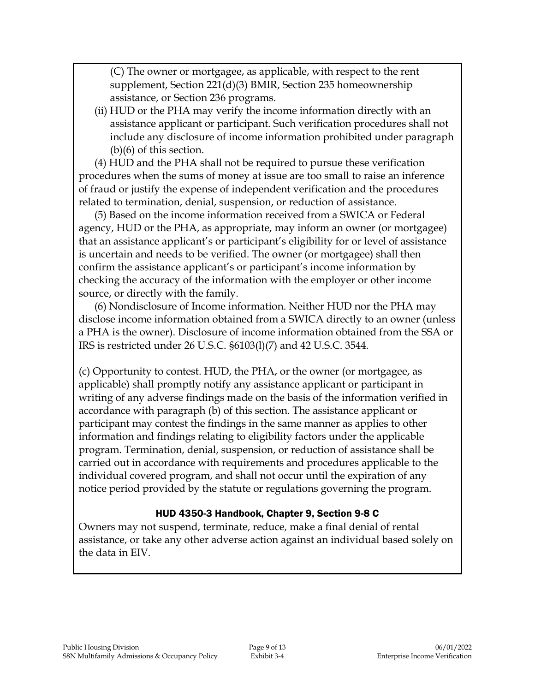(C) The owner or mortgagee, as applicable, with respect to the rent supplement, Section 221(d)(3) BMIR, Section 235 homeownership assistance, or Section 236 programs.

(ii) HUD or the PHA may verify the income information directly with an assistance applicant or participant. Such verification procedures shall not include any disclosure of income information prohibited under paragraph (b)(6) of this section.

(4) HUD and the PHA shall not be required to pursue these verification procedures when the sums of money at issue are too small to raise an inference of fraud or justify the expense of independent verification and the procedures related to termination, denial, suspension, or reduction of assistance.

(5) Based on the income information received from a SWICA or Federal agency, HUD or the PHA, as appropriate, may inform an owner (or mortgagee) that an assistance applicant's or participant's eligibility for or level of assistance is uncertain and needs to be verified. The owner (or mortgagee) shall then confirm the assistance applicant's or participant's income information by checking the accuracy of the information with the employer or other income source, or directly with the family.

(6) Nondisclosure of Income information. Neither HUD nor the PHA may disclose income information obtained from a SWICA directly to an owner (unless a PHA is the owner). Disclosure of income information obtained from the SSA or IRS is restricted under 26 U.S.C. §6103(l)(7) and 42 U.S.C. 3544.

(c) Opportunity to contest. HUD, the PHA, or the owner (or mortgagee, as applicable) shall promptly notify any assistance applicant or participant in writing of any adverse findings made on the basis of the information verified in accordance with paragraph (b) of this section. The assistance applicant or participant may contest the findings in the same manner as applies to other information and findings relating to eligibility factors under the applicable program. Termination, denial, suspension, or reduction of assistance shall be carried out in accordance with requirements and procedures applicable to the individual covered program, and shall not occur until the expiration of any notice period provided by the statute or regulations governing the program.

#### HUD 4350-3 Handbook, Chapter 9, Section 9-8 C

Owners may not suspend, terminate, reduce, make a final denial of rental assistance, or take any other adverse action against an individual based solely on the data in EIV.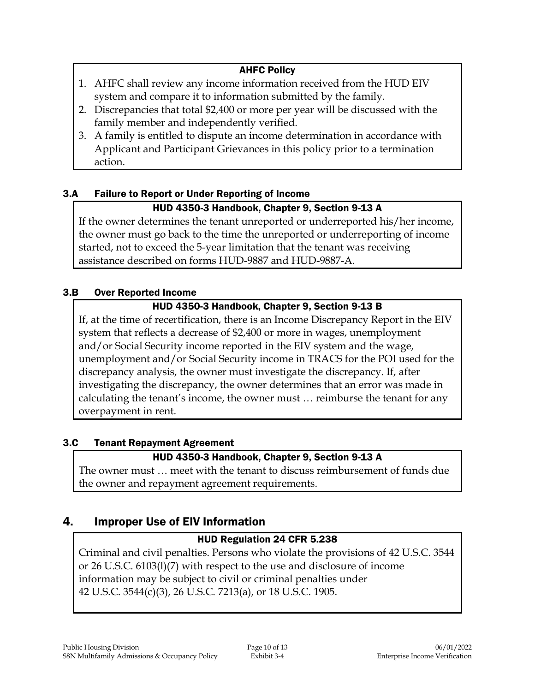## AHFC Policy

- 1. AHFC shall review any income information received from the HUD EIV system and compare it to information submitted by the family.
- 2. Discrepancies that total \$2,400 or more per year will be discussed with the family member and independently verified.
- 3. A family is entitled to dispute an income determination in accordance with Applicant and Participant Grievances in this policy prior to a termination action.

## 3.A Failure to Report or Under Reporting of Income

## HUD 4350-3 Handbook, Chapter 9, Section 9-13 A

If the owner determines the tenant unreported or underreported his/her income, the owner must go back to the time the unreported or underreporting of income started, not to exceed the 5-year limitation that the tenant was receiving assistance described on forms HUD-9887 and HUD-9887-A.

## 3.B Over Reported Income

## HUD 4350-3 Handbook, Chapter 9, Section 9-13 B

If, at the time of recertification, there is an Income Discrepancy Report in the EIV system that reflects a decrease of \$2,400 or more in wages, unemployment and/or Social Security income reported in the EIV system and the wage, unemployment and/or Social Security income in TRACS for the POI used for the discrepancy analysis, the owner must investigate the discrepancy. If, after investigating the discrepancy, the owner determines that an error was made in calculating the tenant's income, the owner must … reimburse the tenant for any overpayment in rent.

## 3.C Tenant Repayment Agreement

## HUD 4350-3 Handbook, Chapter 9, Section 9-13 A

The owner must … meet with the tenant to discuss reimbursement of funds due the owner and repayment agreement requirements.

## 4. Improper Use of EIV Information

## HUD Regulation 24 CFR 5.238

Criminal and civil penalties. Persons who violate the provisions of 42 U.S.C. 3544 or 26 U.S.C. 6103(l)(7) with respect to the use and disclosure of income information may be subject to civil or criminal penalties under 42 U.S.C. 3544(c)(3), 26 U.S.C. 7213(a), or 18 U.S.C. 1905.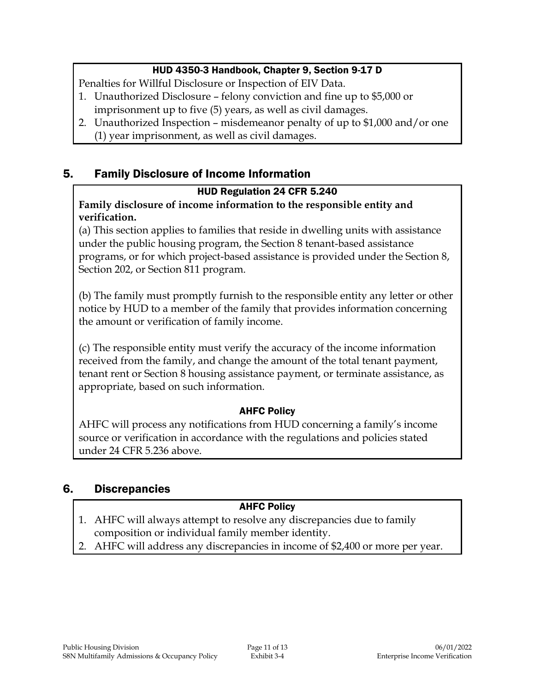## HUD 4350-3 Handbook, Chapter 9, Section 9-17 D

Penalties for Willful Disclosure or Inspection of EIV Data.

- 1. Unauthorized Disclosure felony conviction and fine up to \$5,000 or imprisonment up to five (5) years, as well as civil damages.
- 2. Unauthorized Inspection misdemeanor penalty of up to \$1,000 and/or one (1) year imprisonment, as well as civil damages.

## 5. Family Disclosure of Income Information

## HUD Regulation 24 CFR 5.240

## **Family disclosure of income information to the responsible entity and verification.**

(a) This section applies to families that reside in dwelling units with assistance under the public housing program, the Section 8 tenant-based assistance programs, or for which project-based assistance is provided under the Section 8, Section 202, or Section 811 program.

(b) The family must promptly furnish to the responsible entity any letter or other notice by HUD to a member of the family that provides information concerning the amount or verification of family income.

(c) The responsible entity must verify the accuracy of the income information received from the family, and change the amount of the total tenant payment, tenant rent or Section 8 housing assistance payment, or terminate assistance, as appropriate, based on such information.

## AHFC Policy

AHFC will process any notifications from HUD concerning a family's income source or verification in accordance with the regulations and policies stated under 24 CFR 5.236 above.

## 6. Discrepancies

## AHFC Policy

- 1. AHFC will always attempt to resolve any discrepancies due to family composition or individual family member identity.
- 2. AHFC will address any discrepancies in income of \$2,400 or more per year.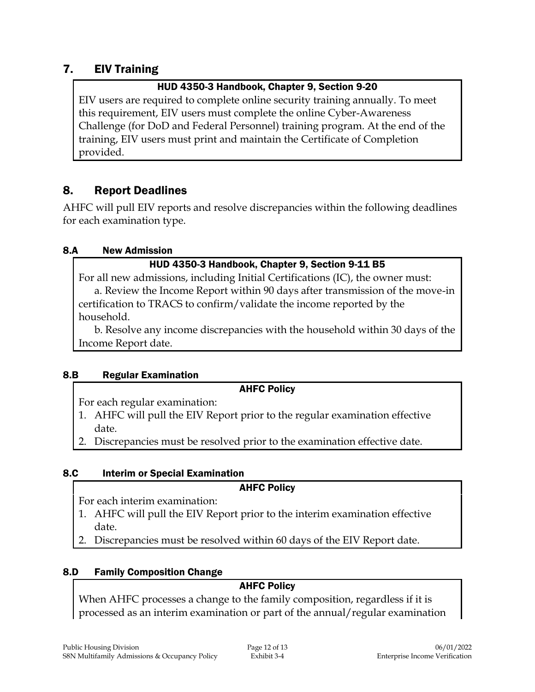## 7. EIV Training

## HUD 4350-3 Handbook, Chapter 9, Section 9-20

EIV users are required to complete online security training annually. To meet this requirement, EIV users must complete the online Cyber-Awareness Challenge (for DoD and Federal Personnel) training program. At the end of the training, EIV users must print and maintain the Certificate of Completion provided.

## 8. Report Deadlines

AHFC will pull EIV reports and resolve discrepancies within the following deadlines for each examination type.

## 8.A New Admission

## HUD 4350-3 Handbook, Chapter 9, Section 9-11 B5

For all new admissions, including Initial Certifications (IC), the owner must: a. Review the Income Report within 90 days after transmission of the move-in certification to TRACS to confirm/validate the income reported by the household.

b. Resolve any income discrepancies with the household within 30 days of the Income Report date.

## 8.B Regular Examination

## AHFC Policy

For each regular examination:

- 1. AHFC will pull the EIV Report prior to the regular examination effective date.
- 2. Discrepancies must be resolved prior to the examination effective date.

## 8.C Interim or Special Examination

## AHFC Policy

For each interim examination:

- 1. AHFC will pull the EIV Report prior to the interim examination effective date.
- 2. Discrepancies must be resolved within 60 days of the EIV Report date.

## 8.D Family Composition Change

## AHFC Policy

When AHFC processes a change to the family composition, regardless if it is processed as an interim examination or part of the annual/regular examination